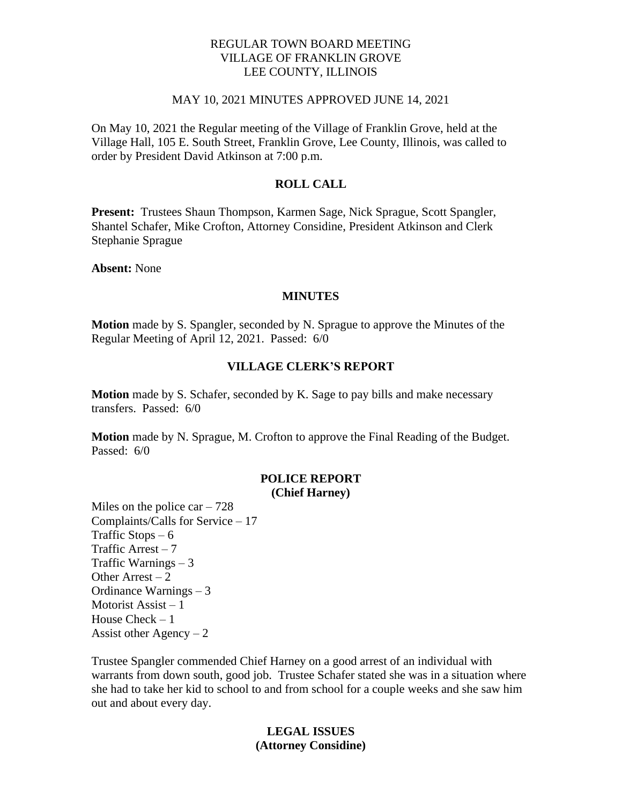# REGULAR TOWN BOARD MEETING VILLAGE OF FRANKLIN GROVE LEE COUNTY, ILLINOIS

#### MAY 10, 2021 MINUTES APPROVED JUNE 14, 2021

On May 10, 2021 the Regular meeting of the Village of Franklin Grove, held at the Village Hall, 105 E. South Street, Franklin Grove, Lee County, Illinois, was called to order by President David Atkinson at 7:00 p.m.

# **ROLL CALL**

**Present:** Trustees Shaun Thompson, Karmen Sage, Nick Sprague, Scott Spangler, Shantel Schafer, Mike Crofton, Attorney Considine, President Atkinson and Clerk Stephanie Sprague

**Absent:** None

#### **MINUTES**

**Motion** made by S. Spangler, seconded by N. Sprague to approve the Minutes of the Regular Meeting of April 12, 2021. Passed: 6/0

#### **VILLAGE CLERK'S REPORT**

**Motion** made by S. Schafer, seconded by K. Sage to pay bills and make necessary transfers. Passed: 6/0

**Motion** made by N. Sprague, M. Crofton to approve the Final Reading of the Budget. Passed: 6/0

#### **POLICE REPORT (Chief Harney)**

Miles on the police car  $-728$ Complaints/Calls for Service – 17 Traffic Stops  $-6$ Traffic Arrest  $-7$ Traffic Warnings – 3 Other Arrest  $-2$ Ordinance Warnings – 3 Motorist Assist – 1 House Check – 1 Assist other Agency  $-2$ 

Trustee Spangler commended Chief Harney on a good arrest of an individual with warrants from down south, good job. Trustee Schafer stated she was in a situation where she had to take her kid to school to and from school for a couple weeks and she saw him out and about every day.

### **LEGAL ISSUES (Attorney Considine)**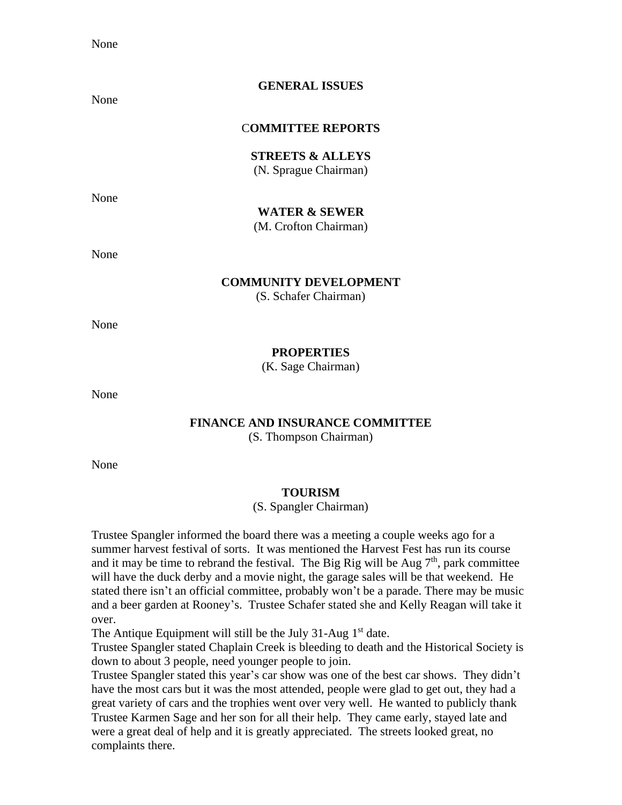None

### **GENERAL ISSUES**

None

### C**OMMITTEE REPORTS**

**STREETS & ALLEYS** (N. Sprague Chairman)

None

### **WATER & SEWER**

(M. Crofton Chairman)

None

#### **COMMUNITY DEVELOPMENT**

(S. Schafer Chairman)

None

### **PROPERTIES**

(K. Sage Chairman)

None

### **FINANCE AND INSURANCE COMMITTEE**

(S. Thompson Chairman)

None

#### **TOURISM**

(S. Spangler Chairman)

Trustee Spangler informed the board there was a meeting a couple weeks ago for a summer harvest festival of sorts. It was mentioned the Harvest Fest has run its course and it may be time to rebrand the festival. The Big Rig will be Aug  $7<sup>th</sup>$ , park committee will have the duck derby and a movie night, the garage sales will be that weekend. He stated there isn't an official committee, probably won't be a parade. There may be music and a beer garden at Rooney's. Trustee Schafer stated she and Kelly Reagan will take it over.

The Antique Equipment will still be the July 31-Aug  $1<sup>st</sup>$  date.

Trustee Spangler stated Chaplain Creek is bleeding to death and the Historical Society is down to about 3 people, need younger people to join.

Trustee Spangler stated this year's car show was one of the best car shows. They didn't have the most cars but it was the most attended, people were glad to get out, they had a great variety of cars and the trophies went over very well. He wanted to publicly thank Trustee Karmen Sage and her son for all their help. They came early, stayed late and were a great deal of help and it is greatly appreciated. The streets looked great, no complaints there.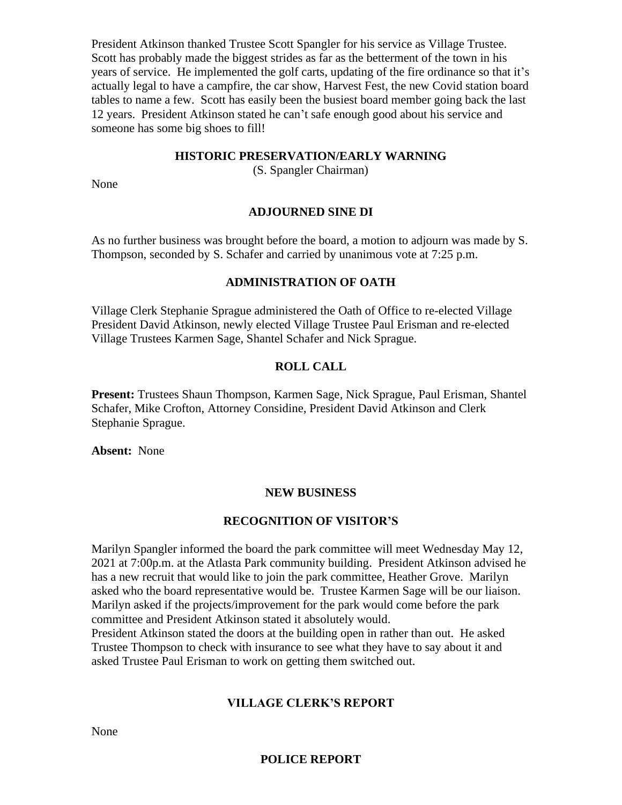President Atkinson thanked Trustee Scott Spangler for his service as Village Trustee. Scott has probably made the biggest strides as far as the betterment of the town in his years of service. He implemented the golf carts, updating of the fire ordinance so that it's actually legal to have a campfire, the car show, Harvest Fest, the new Covid station board tables to name a few. Scott has easily been the busiest board member going back the last 12 years. President Atkinson stated he can't safe enough good about his service and someone has some big shoes to fill!

### **HISTORIC PRESERVATION/EARLY WARNING**

(S. Spangler Chairman)

None

# **ADJOURNED SINE DI**

As no further business was brought before the board, a motion to adjourn was made by S. Thompson, seconded by S. Schafer and carried by unanimous vote at 7:25 p.m.

# **ADMINISTRATION OF OATH**

Village Clerk Stephanie Sprague administered the Oath of Office to re-elected Village President David Atkinson, newly elected Village Trustee Paul Erisman and re-elected Village Trustees Karmen Sage, Shantel Schafer and Nick Sprague.

# **ROLL CALL**

**Present:** Trustees Shaun Thompson, Karmen Sage, Nick Sprague, Paul Erisman, Shantel Schafer, Mike Crofton, Attorney Considine, President David Atkinson and Clerk Stephanie Sprague.

**Absent:** None

# **NEW BUSINESS**

# **RECOGNITION OF VISITOR'S**

Marilyn Spangler informed the board the park committee will meet Wednesday May 12, 2021 at 7:00p.m. at the Atlasta Park community building. President Atkinson advised he has a new recruit that would like to join the park committee, Heather Grove. Marilyn asked who the board representative would be. Trustee Karmen Sage will be our liaison. Marilyn asked if the projects/improvement for the park would come before the park committee and President Atkinson stated it absolutely would.

President Atkinson stated the doors at the building open in rather than out. He asked Trustee Thompson to check with insurance to see what they have to say about it and asked Trustee Paul Erisman to work on getting them switched out.

# **VILLAGE CLERK'S REPORT**

None

# **POLICE REPORT**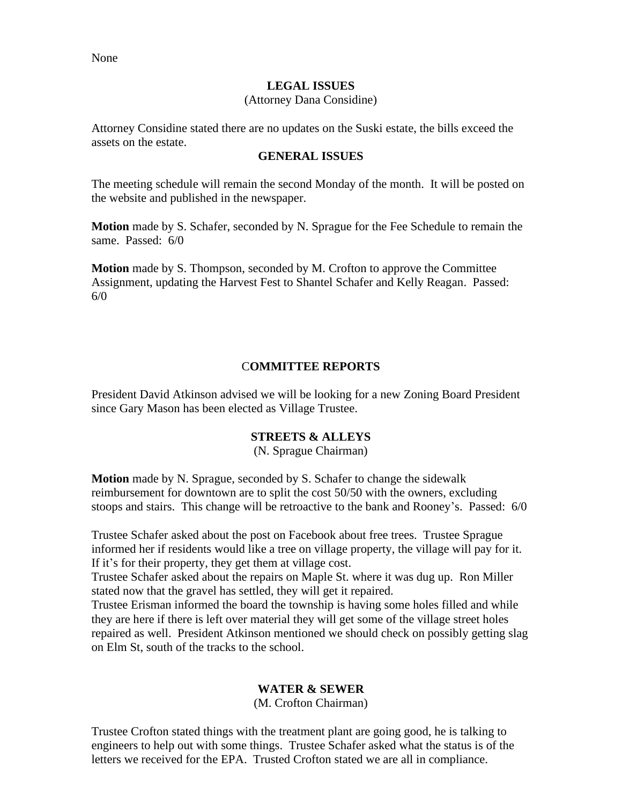#### **LEGAL ISSUES**

#### (Attorney Dana Considine)

Attorney Considine stated there are no updates on the Suski estate, the bills exceed the assets on the estate.

#### **GENERAL ISSUES**

The meeting schedule will remain the second Monday of the month. It will be posted on the website and published in the newspaper.

**Motion** made by S. Schafer, seconded by N. Sprague for the Fee Schedule to remain the same. Passed: 6/0

**Motion** made by S. Thompson, seconded by M. Crofton to approve the Committee Assignment, updating the Harvest Fest to Shantel Schafer and Kelly Reagan. Passed: 6/0

### C**OMMITTEE REPORTS**

President David Atkinson advised we will be looking for a new Zoning Board President since Gary Mason has been elected as Village Trustee.

# **STREETS & ALLEYS**

(N. Sprague Chairman)

**Motion** made by N. Sprague, seconded by S. Schafer to change the sidewalk reimbursement for downtown are to split the cost 50/50 with the owners, excluding stoops and stairs. This change will be retroactive to the bank and Rooney's. Passed: 6/0

Trustee Schafer asked about the post on Facebook about free trees. Trustee Sprague informed her if residents would like a tree on village property, the village will pay for it. If it's for their property, they get them at village cost.

Trustee Schafer asked about the repairs on Maple St. where it was dug up. Ron Miller stated now that the gravel has settled, they will get it repaired.

Trustee Erisman informed the board the township is having some holes filled and while they are here if there is left over material they will get some of the village street holes repaired as well. President Atkinson mentioned we should check on possibly getting slag on Elm St, south of the tracks to the school.

# **WATER & SEWER**

(M. Crofton Chairman)

Trustee Crofton stated things with the treatment plant are going good, he is talking to engineers to help out with some things. Trustee Schafer asked what the status is of the letters we received for the EPA. Trusted Crofton stated we are all in compliance.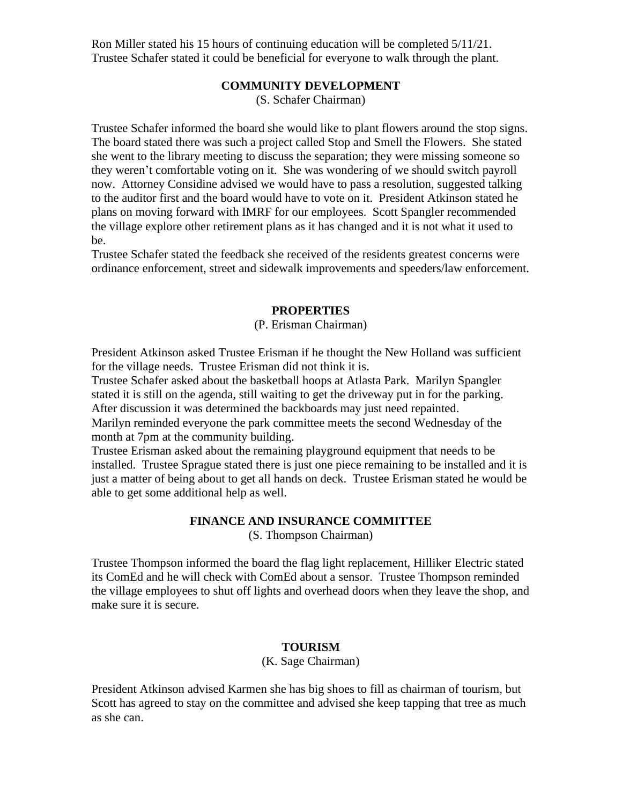Ron Miller stated his 15 hours of continuing education will be completed 5/11/21. Trustee Schafer stated it could be beneficial for everyone to walk through the plant.

### **COMMUNITY DEVELOPMENT**

(S. Schafer Chairman)

Trustee Schafer informed the board she would like to plant flowers around the stop signs. The board stated there was such a project called Stop and Smell the Flowers. She stated she went to the library meeting to discuss the separation; they were missing someone so they weren't comfortable voting on it. She was wondering of we should switch payroll now. Attorney Considine advised we would have to pass a resolution, suggested talking to the auditor first and the board would have to vote on it. President Atkinson stated he plans on moving forward with IMRF for our employees. Scott Spangler recommended the village explore other retirement plans as it has changed and it is not what it used to be.

Trustee Schafer stated the feedback she received of the residents greatest concerns were ordinance enforcement, street and sidewalk improvements and speeders/law enforcement.

### **PROPERTIES**

# (P. Erisman Chairman)

President Atkinson asked Trustee Erisman if he thought the New Holland was sufficient for the village needs. Trustee Erisman did not think it is.

Trustee Schafer asked about the basketball hoops at Atlasta Park. Marilyn Spangler stated it is still on the agenda, still waiting to get the driveway put in for the parking. After discussion it was determined the backboards may just need repainted.

Marilyn reminded everyone the park committee meets the second Wednesday of the month at 7pm at the community building.

Trustee Erisman asked about the remaining playground equipment that needs to be installed. Trustee Sprague stated there is just one piece remaining to be installed and it is just a matter of being about to get all hands on deck. Trustee Erisman stated he would be able to get some additional help as well.

# **FINANCE AND INSURANCE COMMITTEE**

(S. Thompson Chairman)

Trustee Thompson informed the board the flag light replacement, Hilliker Electric stated its ComEd and he will check with ComEd about a sensor. Trustee Thompson reminded the village employees to shut off lights and overhead doors when they leave the shop, and make sure it is secure.

#### **TOURISM**

# (K. Sage Chairman)

President Atkinson advised Karmen she has big shoes to fill as chairman of tourism, but Scott has agreed to stay on the committee and advised she keep tapping that tree as much as she can.